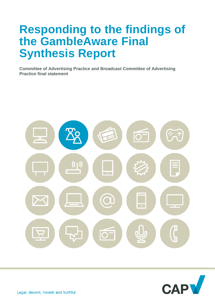# **Responding to the findings of the GambleAware Final Synthesis Report**

**Committee of Advertising Practice and Broadcast Committee of Advertising Practice final statement**



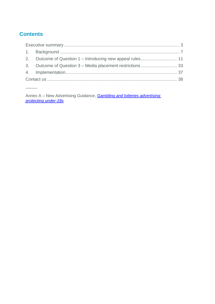# **Contents**

 $\overline{\phantom{a}}$ 

Annex A – New Advertising Guidance, *[Gambling and lotteries advertising:](https://www.asa.org.uk/resource/Gambling-consultation-guidance-annex-2022.html)  [protecting under-18s](https://www.asa.org.uk/resource/Gambling-consultation-guidance-annex-2022.html)*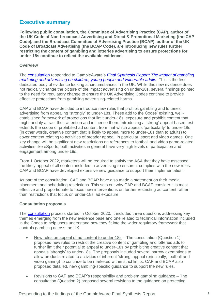## <span id="page-2-0"></span>**Executive summary**

**Following public consultation, the Committee of Advertising Practice (CAP), author of the UK Code of Non-broadcast Advertising and Direct & Promotional Marketing (the CAP Code), and the Broadcast Committee of Advertising Practice (BCAP), author of the UK Code of Broadcast Advertising (the BCAP Code), are introducing new rules further restricting the content of gambling and lotteries advertising to ensure protections for under-18s continue to reflect the available evidence.**

#### **Overview**

The [consultation](https://www.asa.org.uk/resource/gambling-appeal-consultation.html) responded to GambleAware's *[Final Synthesis Report: The impact of gambling](https://infohub.gambleaware.org/media/2160/the-effect-of-gambling-marketing-and-advertising-synthesis-report_final.pdf)  [marketing and advertising on children, young people and vulnerable adults](https://infohub.gambleaware.org/media/2160/the-effect-of-gambling-marketing-and-advertising-synthesis-report_final.pdf).* This is the first dedicated body of evidence looking at circumstances in the UK. While this new evidence does not radically change the picture of the impact advertising on under-18s, several findings pointed to the need for regulatory change to ensure the UK Advertising Codes continue to provide effective protections from gambling advertising-related harms.

CAP and BCAP have decided to introduce new rules that prohibit gambling and lotteries advertising from appealing 'strongly' to under-18s. These add to the Codes' existing, wellestablished framework of protections that limit under-18s' exposure and prohibit content that might unduly attract their attention and influence them. Introducing a 'strong' appeal-based test extends the scope of prohibited ad content from that which appeals 'particularly' to under-18s (in other words, creative content that is likely to appeal more to under-18s than to adults) to cover content relating to activities of broader appeal, in particular, sport and video games. One key change will be significant new restrictions on references to football and video game-related activities like eSports; both activities in general have very high levels of participation and engagement among under-18s.

From 1 October 2022, marketers will be required to satisfy the ASA that they have assessed the likely appeal of all content included in advertising to ensure it complies with the new rules. CAP and BCAP have developed extensive new guidance to support their implementation.

As part of the consultation, CAP and BCAP have also made a statement on their media placement and scheduling restrictions. This sets out why CAP and BCAP consider it is most effective and proportionate to focus new interventions on further restricting ad content rather than restrictions that focus on under-18s' ad exposure.

#### **Consultation proposals**

The [consultation](https://www.asa.org.uk/uploads/assets/f939d3c2-42cf-4c2f-82901b688554fdea/CAP-gambling-Oct2020-consultation-document.pdf) process started in October 2020. It included three questions addressing key themes emerging from the new evidence base and one related to technical information included in the Codes to help users understand how they fit into the wider regulatory framework that controls gambling across the UK.

- New rules on appeal of ad content to under-18s The consultation (Question 1) proposed new rules to restrict the creative content of gambling and lotteries ads to further limit their potential to appeal to under-18s by prohibiting creative content that appeals 'strongly' to under-18s. The proposals included several narrow exemptions to allow products related to activities of inherent 'strong' appeal (principally, football and video gaming) to continue to be marketed within strict limits. CAP and BCAP also proposed detailed, new gambling-specific guidance to support the new rules.
- Revisions to CAP and BCAP's responsibility and problem gambling guidance The consultation (Question 2) proposed several revisions to the guidance on protecting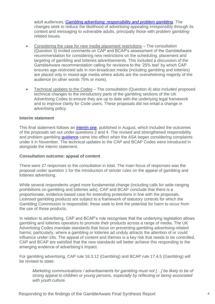adult audiences, *[Gambling advertising: responsibility and problem gambling](https://www.asa.org.uk/uploads/assets/uploaded/bb5292af-96f3-4c28-94a031dbfdfde3d8.pdf)*. The changes seek to reduce the likelihood of advertising appealing irresponsibly through its content and messaging to vulnerable adults, principally those with problem gamblingrelated issues.

- Considering the case for new media placement restrictions The consultation (Question 3) invited comments on CAP and BCAP's assessment of the GambleAware recommendation for considering new restrictions on the scheduling, placement and targeting of gambling and lotteries advertisements. This included a discussion of the GambleAware recommendation calling for revisions to the '25% test' by which CAP ensures age-restricted ads in non-broadcast media (including gambling and lotteries) are placed only in mixed-age media where adults are the overwhelming majority of the audience (in other words 75% or more).
- Technical updates to the Codes The consultation (Question 4) also included proposed technical changes to the introductory parts of the gambling sections of the UK Advertising Codes to ensure they are up to date with the underlying legal framework and to improve clarity for Code users. These proposals did not entail a change in advertising policy.

#### **Interim statement**

This final statement follows an *interim one*, published in August, which included the outcomes of the proposals set out under questions 2 and 4. The revised and strengthened responsibility and problem gambling *guidance* came into effect when the ASA began considering complaints under it in November. The technical updates to the CAP and BCAP Codes were introduced in alongside the interim statement.

#### **Consultation outcome: appeal of content**

There were 27 responses to the consultation in total. The main focus of responses was the proposal under question 1 for the introduction of stricter rules on the appeal of gambling and lotteries advertising.

While several respondents urged more fundamental change (including calls for wide-ranging prohibitions on gambling and lotteries ads), CAP and BCAP conclude that there is a proportionate, evidence-based case for extending protections in line with the proposals. Licensed gambling products are subject to a framework of statutory controls for which the Gambling Commission is responsible; these seek to limit the potential for harm to occur from the use of those products.

In relation to advertising, CAP and BCAP's role recognises that the underlying legislation allows gambling and lotteries operators to promote their products across a range of media. The UK Advertising Codes mandate standards that focus on preventing gambling advertising-related harms; particularly, where a gambling or lotteries ad unduly attracts the attention of or could influence under-18s. The appeal of content and themes is a key risk that needs to be controlled. CAP and BCAP are satisfied that the new standards will better achieve this responding to the emerging evidence of advertising's impact.

For gambling advertising, CAP rule 16.3.12 (Gambling) and BCAP rule 17.4.5 (Gambling) will be revised to state:

*Marketing communications / advertisements for gambling must not […] be likely to be of strong appeal to children or young persons, especially by reflecting or being associated with youth culture.*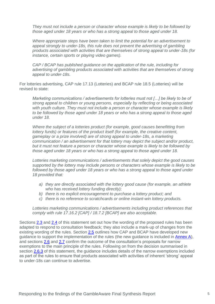*They must not include a person or character whose example is likely to be followed by those aged under 18 years or who has a strong appeal to those aged under 18.*

*Where appropriate steps have been taken to limit the potential for an advertisement to appeal strongly to under-18s, this rule does not prevent the advertising of gambling products associated with activities that are themselves of strong appeal to under-18s (for instance, certain sports or playing video games).* 

*CAP / BCAP has published guidance on the application of the rule, including for advertising of gambling products associated with activities that are themselves of strong appeal to under-18s.*

For lotteries advertising, CAP rule 17.13 (Lotteries) and BCAP rule 18.5 (Lotteries) will be revised to state:

*Marketing communications / advertisements for lotteries must not […] be likely to be of strong appeal to children or young persons, especially by reflecting or being associated with youth culture. They must not include a person or character whose example is likely to be followed by those aged under 18 years or who has a strong appeal to those aged under 18.*

*Where the subject of a lotteries product (for example, good causes benefitting from lottery funds) or features of the product itself (for example, the creative content, gameplay or a prize involved) are of strong appeal to under-18s, a marketing communication / an advertisement for that lottery may depict the subject and/or product, but it must not feature a person or character whose example is likely to be followed by those aged under 18 years or who has a strong appeal to those aged under 18.*

*Lotteries marketing communications / advertisements that solely depict the good causes supported by the lottery may include persons or characters whose example is likely to be*  followed by those aged under 18 years or who has a strong appeal to those aged under *18 provided that:* 

- *a) they are directly associated with the lottery good cause (for example, an athlete who has received lottery funding directly);*
- *b) there is no explicit encouragement to purchase a lottery product; and*
- *c) there is no reference to scratchcards or online instant-win lottery products.*

*Lotteries marketing communications / advertisements including product references that comply with rule 17.16.2 [CAP] / 18.7.2 [BCAP] are also acceptable.*

Sections [2.3](#page-11-0) and [2.4](#page-17-0) of this statement set out how the wording of the proposed rules has been adapted to respond to consultation feedback; they also include a mark-up of changes from the existing wording of the rules. Section [2.5](#page-20-0) outlines how CAP and BCAP have developed new guidance to support the implementation of the rules (the new guidance is included in [Annex A\)](https://www.asa.org.uk/resource/Gambling-consultation-guidance-annex-2022.html), and sections [2.6](#page-24-0) and [2.7](#page-29-0) confirm the outcome of the consultation's proposals for narrow exemptions to the main principle of the rules. Following on from the decision summarised in section [2.6.3](#page-26-0) of this statement, the guidance includes details of the narrow exemptions included as part of the rules to ensure that products associated with activities of inherent 'strong' appeal to under-18s can continue to advertise.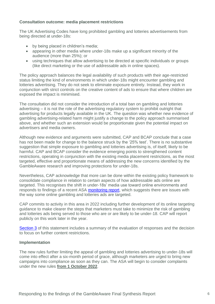#### **Consultation outcome: media placement restrictions**

The UK Advertising Codes have long prohibited gambling and lotteries advertisements from being directed at under-18s:

- by being placed in children's media;
- appearing in other media where under-18s make up a significant minority of the audience (more than 25%); or
- using techniques that allow advertising to be directed at specific individuals or groups (like direct marketing or the use of addressable ads in online spaces).

The policy approach balances the legal availability of such products with their age-restricted status limiting the kind of environments in which under-18s might encounter gambling and lotteries advertising. They do not seek to eliminate exposure entirely. Instead, they work in conjunction with strict controls on the creative content of ads to ensure that where children are exposed the impact is minimised.

The consultation did not consider the introduction of a total ban on gambling and lotteries advertising – it is not the role of the advertising regulatory system to prohibit outright that advertising for products legally available in the UK. The question was whether new evidence of gambling advertising-related harm might justify a change to the policy approach summarised above, and whether such an extension would be proportionate given the potential impact on advertisers and media owners.

Although new evidence and arguments were submitted, CAP and BCAP conclude that a case has not been made for change to the balance struck by the '25% test'. There is no substantive suggestion that simple exposure to gambling and lotteries advertising is, of itself, likely to be harmful. CAP and BCAP consider the evidence emerging points to strengthened content restrictions, operating in conjunction with the existing media placement restrictions, as the most targeted, effective and proportionate means of addressing the new concerns identified by the GambleAware research and improving protections for under-18s.

Nevertheless, CAP acknowledge that more can be done within the existing policy framework to consolidate compliance in relation to certain aspects of how addressable ads online are targeted. This recognises the shift in under-18s' media use toward online environments and responds to findings of a recent ASA [monitoring report,](https://www.asa.org.uk/news/calling-on-advertisers-to-make-better-use-of-online-targeting-tools-to-minimise-children-s-exposure-to-age-restricted-ads.html) which suggests there are issues with the way some online gambling and lotteries ads are targeted.

CAP commits to activity in this area in 2022 including further development of its online targeting guidance to make clearer the steps that marketers must take to minimize the risk of gambling and lotteries ads being served to those who are or are likely to be under-18. CAP will report publicly on this work later in the year.

[Section 3](#page-32-0) of this statement includes a summary of the evaluation of responses and the decision to focus on further content restrictions.

#### **Implementation**

The new rules further limiting the appeal of gambling and lotteries advertising to under-18s will come into effect after a six-month period of grace, although marketers are urged to bring new campaigns into compliance as soon as they can. The ASA will begin to consider complaints under the new rules **from 1 October 2022**.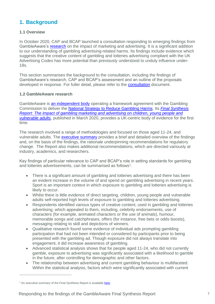# <span id="page-6-0"></span>**1. Background**

## **1.1 Overview**

In October 2020, CAP and BCAP launched a consultation responding to emerging findings from GambleAware's [research](https://infohub.gambleaware.org/media/2160/the-effect-of-gambling-marketing-and-advertising-synthesis-report_final.pdf) on the impact of marketing and advertising. It is a significant addition to our understanding of gambling advertising-related harms. Its findings include evidence which suggests that the creative content of gambling and lotteries advertising compliant with the UK Advertising Codes has more potential than previously understood to unduly influence under-18s.

This section summarises the background to the consultation, including the findings of GambleAware's research, CAP and BCAP's assessment and an outline of the proposals developed in response. For fuller detail, please refer to the **consultation** document.

#### **1.2 GambleAware research**

GambleAware is [an independent body](https://about.gambleaware.org/about/) operating a framework agreement with the Gambling Commission to deliver the National Strategy [to Reduce Gambling Harms.](https://www.gamblingcommission.gov.uk/news-action-and-statistics/Media-resources/Speech-web-pages/National-Strategy-to-Reduce-Gambling-Harms.aspx) Its *[Final Synthesis](https://infohub.gambleaware.org/media/2160/the-effect-of-gambling-marketing-and-advertising-synthesis-report_final.pdf)  Report: The impact of gambling marketing and advertising on children, young people and [vulnerable adults](https://infohub.gambleaware.org/media/2160/the-effect-of-gambling-marketing-and-advertising-synthesis-report_final.pdf)*, published in March 2020, provides a UK-centric body of evidence for the first time.

The research involved a range of methodologies and focused on those aged 11-24, and vulnerable adults. The [executive summary](https://about.gambleaware.org/media/2157/the-effect-of-gambling-marketing-and-advertising-exec-sum_final.pdf) provides a brief and detailed overview of the findings and, on the basis of the findings, the rationale underpinning recommendations for regulatory change. The Report also makes additional recommendations, which are directed variously at industry, academics, and researchers.

Key findings of particular relevance to CAP and BCAP's role in setting standards for gambling and lotteries advertisements, can be summarised as follows<sup>1</sup>.

- There is a significant amount of gambling and lotteries advertising and there has been an evident increase in the volume of and spend on gambling advertising in recent years. Sport is an important context in which exposure to gambling and lotteries advertising is likely to occur.
- Whilst there is little evidence of direct targeting, children, young people and vulnerable adults self-reported high levels of exposure to gambling and lotteries advertising.
- Respondents identified various types of creative content, used in gambling and lotteries advertising, which appealed to them, including, celebrity endorsements, use of characters (for example, animated characters or the use of animals), humour, memorable songs and catchphrases, offers (for instance, free bets or odds boosts), messaging relating to skill and depictions of winners.
- Qualitative research found some evidence of individual ads prompting gambling participation that had not been intended or considered by participants prior to being presented with the gambling ad. Though exposure did not always translate into engagement, it did increase awareness of gambling.
- Advanced statistical analysis shows that for people aged 11-24, who did not currently gamble, exposure to advertising was significantly associated with a likelihood to gamble in the future, after controlling for demographic and other factors.
- The relationship between advertising and current gambling behaviour is multifaceted. Within the statistical analysis, factors which were significantly associated with current

 $1$  An executive summary of the Final Synthesis Report is availabl[e here.](https://www.begambleaware.org/sites/default/files/2020-12/the-effect-of-gambling-marketing-and-advertising-exec-sum_final.pdf)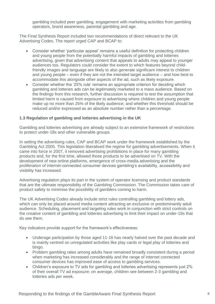gambling included peer gambling, engagement with marketing activities from gambling operators, brand awareness, parental gambling and age.

The Final Synthesis Report included two recommendations of direct relevant to the UK Advertising Codes. The report urged CAP and BCAP to:

- Consider whether 'particular appeal' remains a useful definition for protecting children and young people from the potentially harmful impacts of gambling and lotteries advertising, given that advertising content that appeals to adults may appeal to younger audiences too. Regulators could consider the extent to which features beyond childfriendly images and language are likely to also generate significant interest to children and young people – even if they are not the intended target audience – and how best to accommodate this alongside other aspects of the ad, such as likely exposure.
- Consider whether the '25% rule' remains an appropriate criterion for deciding which gambling and lotteries ads can be legitimately marketed to a mass audience. Based on the findings from this research, further discussion is required to test the assumption that limited harm is caused from exposure to advertising where children and young people make up no more than 25% of the likely audience; and whether this threshold should be reduced and/or expressed as an absolute number rather than a percentage.

#### **1.3 Regulation of gambling and lotteries advertising in the UK**

Gambling and lotteries advertising are already subject to an extensive framework of restrictions to protect under-18s and other vulnerable groups.

In setting the advertising rules, CAP and BCAP work under the framework established by the Gambling Act 2005. This legislation liberalised the regime for gambling advertisements. When it came into force in 2007, it removed advertising prohibitions in place for many gambling products and, for the first time, allowed those products to be advertised on TV. With the development of new online platforms, emergence of cross-media advertising and the proliferation of internet-connected consumer devices gambling's availability, accessibility and visibility has increased.

Advertising regulation plays its part in the system of operator licensing and product standards that are the ultimate responsibility of the Gambling Commission. The Commission takes care of product safety to minimise the possibility of gamblers coming to harm.

The UK Advertising Codes already include strict rules controlling gambling and lottery ads, which can only be placed around media content attracting an exclusive or predominantly adult audience. Scheduling, placement and targeting rules work in conjunction with strict controls on the creative content of gambling and lotteries advertising to limit their impact on under-18s that do see them.

Key indicators provide support for the framework's effectiveness:

- Underage participation by those aged 11-16 has nearly halved over the past decade and is mainly centred on unregulated activities like play cards or legal play of lotteries and bingo.
- Problem gambling rates among adults have remained broadly consistent during a period when marketing has increased considerably and the range of internet connected consumer devices has improved ease of access to gambling services.
- Children's exposure to TV ads for gambling and lotteries advertising represents just 2% of their overall TV ad exposure; on average, children see between 2-3 gambling and lotteries ads per week.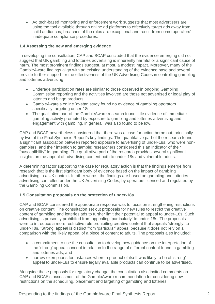• Ad tech-based monitoring and enforcement work suggests that most advertisers are using the tool available through online ad platforms to effectively target ads away from child audiences; breaches of the rules are exceptional and result from some operators' inadequate compliance procedures.

#### **1.4 Assessing the new and emerging evidence**

In developing the consultation, CAP and BCAP concluded that the evidence emerging did not suggest that UK gambling and lotteries advertising is inherently harmful or a significant cause of harm. The most prominent findings suggest, at most, a modest impact. Moreover, many of the GambleAware findings align with an existing understanding of the evidence base and several provide further support for the effectiveness of the UK Advertising Codes in controlling gambling and lotteries advertising:

- Underage participation rates are similar to those observed in ongoing Gambling Commission reporting and the activities involved are those not advertised or legal play of lotteries and bingo products.
- GambleAware's online 'avatar' study found no evidence of gambling operators specifically targeting uncer-18s.
- The qualitative part of the GambleAware research found little evidence of immediate gambling activity prompted by exposure to gambling and lotteries advertising and engagement with gambling, in general, was also found to be low.

CAP and BCAP nevertheless considered that there was a case for action borne out, principally by two of the Final Synthesis Report's key findings. The quantitative part of the research found a significant association between reported exposure to advertising of under-18s, who were nongamblers, and their intention to gamble; researchers considered this an indicator of their "susceptibility" to gambling. The qualitative part of the research provides several significant insights on the appeal of advertising content both to under-18s and vulnerable adults.

A determining factor supporting the case for regulatory action is that the findings emerge from research that is the first significant body of evidence based on the impact of gambling advertising in a UK context. In other words, the findings are based on gambling and lotteries advertising controlled under the UK Advertising Codes, by operators licensed and regulated by the Gambling Commission.

#### **1.5 Consultation proposals on the protection of under-18s**

CAP and BCAP considered the appropriate response was to focus on strengthening restrictions on creative content. The consultation set out proposals for new rules to restrict the creative content of gambling and lotteries ads to further limit their potential to appeal to under-18s. Such advertising is presently prohibited from appealing 'particularly' to under-18s. The proposals were to introduce a more restrictive rule prohibiting creative content that appeals 'strongly' to under-18s. 'Strong' appeal is distinct from 'particular' appeal because it does not rely on a comparison with the likely appeal of a piece of content to adults. The proposals also included:

- a commitment to use the consultation to develop new guidance on the interpretation of the 'strong' appeal concept in relation to the range of different content found in gambling and lotteries ads; and
- narrow exemptions for instances where a product of itself was likely to be of 'strong' appeal to under-18s to ensure legally available products can continue to be advertised.

Alongside these proposals for regulatory change, the consultation also invited comments on CAP and BCAP's assessment of the GambleAware recommendation for considering new restrictions on the scheduling, placement and targeting of gambling and lotteries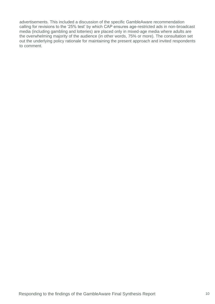advertisements. This included a discussion of the specific GambleAware recommendation calling for revisions to the '25% test' by which CAP ensures age-restricted ads in non-broadcast media (including gambling and lotteries) are placed only in mixed-age media where adults are the overwhelming majority of the audience (in other words, 75% or more). The consultation set out the underlying policy rationale for maintaining the present approach and invited respondents to comment.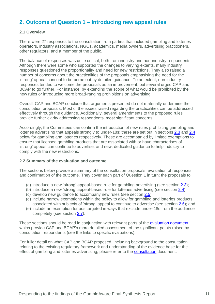# <span id="page-10-0"></span>**2. Outcome of Question 1 – Introducing new appeal rules**

#### **2.1 Overview**

There were 27 responses to the consultation from parties that included gambling and lotteries operators, industry associations, NGOs, academics, media owners, advertising practitioners, other regulators, and a member of the public.

The balance of responses was quite critical, both from industry and non-industry respondents. Although there were some who supported the changes to varying extents, many industry responses questioned the proportionality and need for new restrictions. They also raised a number of concerns about the practicalities of the proposals emphasising the need for the 'strong' appeal concept to be borne out by detailed guidance. To an extent, non-industry responses tended to welcome the proposals as an improvement, but several urged CAP and BCAP to go further. For instance, by extending the scope of what would be prohibited by the new rules or introducing more broad-ranging prohibitions on advertising.

Overall, CAP and BCAP conclude that arguments presented do not materially undermine the consultation proposals. Most of the issues raised regarding the practicalities can be addressed effectively through the guidance. Additionally, several amendments to the proposed rules provide further clarity addressing respondents' most significant concerns.

Accordingly, the Committees can confirm the introduction of new rules prohibiting gambling and lotteries advertising that appeals strongly to under-18s; these are set out in sections [2.3](#page-11-0) and [2.4](#page-17-0) below for gambling and lotteries respectively. These are accompanied by limited exemptions to ensure that licensed gambling products that are associated with or have characterises of 'strong' appeal can continue to advertise, and new, dedicated guidance to help industry to comply with the new restrictions.

#### **2.2 Summary of the evaluation and outcome**

The sections below provide a summary of the consultation proposals, evaluation of responses and confirmation of the outcome. They cover each part of Question 1 in turn; the proposals to:

- (a) introduce a new 'strong' appeal-based rule for gambling advertising (see section [2.3\)](#page-11-0);
- (b) introduce a new 'strong' appeal-based rule for lotteries advertising (see section [2.4\)](#page-17-0);
- (c) develop new guidance to accompany new rules (see section [2.5\)](#page-20-0);
- (d) include narrow exemptions within the policy to allow for gambling and lotteries products associated with subjects of 'strong' appeal to continue to advertise (see section [2.6\)](#page-24-0); and
- (e) include an exemption for ads targeted in ways that exclude under-18s from the audience completely (see section [2.7\)](#page-29-0).

These sections should be read in conjunction with relevant parts of the [evaluation document,](https://www.asa.org.uk/resource/Gambling-consultation-evaluation-table-Q1-2022.html) which provide CAP and BCAP's more detailed assessment of the significant points raised by consultation respondents (see the links to specific evaluations).

For fuller detail on what CAP and BCAP proposed, including background to the consultation relating to the existing regulatory framework and understanding of the evidence base for the effect of gambling and lotteries advertising, please refer to the **consultation** document.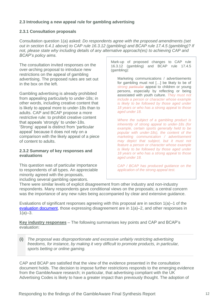## <span id="page-11-0"></span>**2.3 Introducing a new appeal rule for gambling advertising**

#### **2.3.1 Consultation proposals**

Consultation question 1(a) asked: *Do respondents agree with the proposed amendments (set out in section 6.4.1 above) to CAP rule 16.3.12 (gambling) and BCAP rule 17.4.5 (gambling)? If not, please state why including details of any alternative approach(es) to achieving CAP and BCAP's policy aims.* 

The consultation invited responses on the over-arching proposal to introduce new restrictions on the appeal of gambling advertising. The proposed rules are set out in the box on the left.

Gambling advertising is already prohibited from appealing particularly to under-18s; in other words, including creative content that is likely to appeal more to under-18s than to adults. CAP and BCAP propose a more restrictive rule: to prohibit creative content that appeals 'strongly' to under-18s. 'Strong' appeal is distinct from 'particular appeal' because it does not rely on a comparison with the likely appeal of a piece of content to adults.

#### **2.3.2 Summary of key responses and evaluations**

This question was of particular importance to respondents of all types. An appreciable minority agreed with the proposals, including several gambling operators.

Mark-up of proposed changes to CAP rule 16.3.12 (gambling) and BCAP rule 17.4.5 (gambling):

Marketing communications / advertisements for gambling must not […] be likely to be of *strong particular* appeal to children or young persons, especially by reflecting or being associated with youth culture. *They must not include a person or character whose example is likely to be followed by those aged under 18 years or who has a strong appeal to those aged under 18.*

*Where the subject of a gambling product is inherently of strong appeal to under-18s (for example, certain sports generally held to be popular with under-18s), the content of the marketing communication / advertisement may depict that subject, but it must not feature a person or character whose example is likely to be followed by those aged under 18 years or who has a strong appeal to those aged under 18.* 

*CAP / BCAP has produced guidance on the application of the strong appeal test.* 

There were similar levels of explicit disagreement from other industry and non-industry respondents. Many respondents gave conditional views on the proposals; a central concern was the importance of any new rules being accompanied by clear and extensive guidance.

Evaluations of significant responses agreeing with this proposal are in section 1(a)–1 of the [evaluation document,](https://www.asa.org.uk/resource/Gambling-consultation-evaluation-table-Q1-2022.html) those expressing disagreement are in 1(a)–2, and other responses in  $1(a)-3.$ 

**Key industry responses** – The following summarises key points and CAP and BCAP's evaluation:

**(i)** *The proposal was disproportionate and excessive unfairly restricting advertising freedoms, for instance, by making it very difficult to promote products, in particular, sports betting or online gaming.*

CAP and BCAP are satisfied that the view of the evidence presented in the consultation document holds. The decision to impose further restrictions responds to the emerging evidence from the GambleAware research; in particular, that advertising compliant with the UK Advertising Codes is likely to have a greater impact than previously thought. The adoption of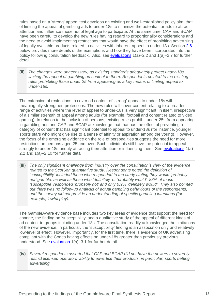rules based on a 'strong' appeal test develops an existing and well-established policy aim; that of limiting the appeal of gambling ads to under-18s to minimize the potential for ads to attract attention and influence those not of legal age to participate. At the same time, CAP and BCAP have been careful to develop the new rules having regard to proportionality considerations and the need to avoid implementing restrictions that would have the effect of prohibiting advertising of legally available products related to activities with inherent appeal to under-18s. Section [2.6](#page-24-0) below provides more details of the exemptions and how they have been incorporated into the policy following consultation feedback. Also, see [evaluations](https://www.asa.org.uk/resource/Gambling-consultation-evaluation-table-Q1-2022.html) 1(a)–2.2 and 1(a)–2.7 for further detail.

**(ii)** *The changes were unnecessary, as existing standards adequately protect under-18s limiting the appeal of gambling ad content to them. Respondents pointed to the existing rules prohibiting those under 25 from appearing as a key means of limiting appeal to under-18s.* 

The extension of restrictions to cover ad content of 'strong' appeal to under-18s will meaningfully strengthen protections. The new rules will cover content relating to a broader range of activities where the level of appeal to under-18s is very significant, in itself, irrespective of a similar strength of appeal among adults (for example, football and content related to video gaming). In relation to the inclusion of persons, existing rules prohibit under-25s from appearing in gambling ads and CAP and BCAP acknowledge that that has the effect of preventing a category of content that has significant potential to appeal to under-18s (for instance, younger sports stars who might give rise to a sense of affinity or aspiration among the young). However, the focus of the emerging evidence on the role of personalities suggests the need for more restrictions on persons aged 25 and over. Such individuals still have the potential to appeal strongly to under-18s unduly attracting their attention or influencing them. See [evaluations](https://www.asa.org.uk/resource/Gambling-consultation-evaluation-table-Q1-2022.html) 1(a)-2.2 and 1(a)–2.10 for further detail.

**(iii)** *The only significant challenge from industry over the consultation's view of the evidence related to the ScotSen quantitative study. Respondents noted the definition of 'susceptibility' included those who responded to the study stating they would 'probably not' gamble, as well as those who 'definitely' or 'probably would'; 83% of those 'susceptible' responded 'probably not' and only 0.9% 'definitely would'. They also pointed out there was no follow-up analysis of actual gambling behaviours of the respondents, and the survey did not provide an understanding of specific gambling intentions (for example, lawful play).*

The GambleAware evidence base includes two key areas of evidence that support the need for change, the finding on 'susceptibility' and a qualitative study of the appeal of different kinds of ad content to groups including under-18s. The consultation readily acknowledged the limitations of the new evidence; in particular, the 'susceptibility' finding is an association only and relatively low-level of effect. However, importantly, for the first time, there is evidence of UK advertising compliant with the Codes having effects on under-18s greater than previously previous understood. See **evaluation** 1(a)-3.1 for further detail.

**(iv)** *Several respondents asserted that CAP and BCAP did not have the powers to severely restrict licensed operators' ability to advertise their products; in particular, sports betting advertising.*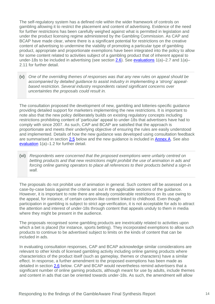The self-regulatory system has a defined role within the wider framework of controls on gambling allowing it to restrict the placement and content of advertising. Evidence of the need for further restrictions has been carefully weighed against what is permitted in legislation and under the product licensing regime administered by the Gambling Commission. As CAP and BCAP have made clear, where there is a significant potential for restrictions on the creative content of advertising to undermine the viability of promoting a particular type of gambling product, appropriate and proportionate exemptions have been integrated into the policy to allow for some content related to activities subject of a gambling product that of inherent appeal to under-18s to be included in advertising (see section [2.6\)](#page-24-0). See [evaluations](https://www.asa.org.uk/resource/Gambling-consultation-evaluation-table-Q1-2022.html) 1(a)–2.7 and 1(a)– 2.11 for further detail.

**(v)** *One of the overriding themes of responses was that any new rules on appeal should be accompanied by detailed guidance to assist industry in implementing a 'strong' appealbased restriction. Several industry respondents raised significant concerns over uncertainties the proposals could result in.*

The consultation proposed the development of new, gambling and lotteries-specific guidance providing detailed support for marketers implementing the new restrictions. It is important to note also that the new policy deliberately builds on existing regulatory concepts including restrictions prohibiting content of 'particular' appeal to under-18s that advertisers have had to comply with since 2007. As such, CAP and BCAP are satisfied that the approach is proportionate and meets their underlying objective of ensuring the rules are easily understood and implemented. Details of how the new guidance was developed using consultation feedback are summarised in section [2.5](#page-20-0) below and the new guidance is included in [Annex A.](https://www.asa.org.uk/resource/Gambling-consultation-guidance-annex-2022.html) See also [evaluation](https://www.asa.org.uk/resource/Gambling-consultation-evaluation-table-Q1-2022.html) 1(a)–1.2 for further detail.

**(vi)** *Respondents were concerned that the proposed exemptions were unfairly centred on betting products and that new restrictions might prohibit the use of animation in ads and forcing online gaming operators to place all references to their products behind a sign-in wall.*

The proposals do not prohibit use of animation in general. Such content will be assessed on a case-by-case basis against the criteria set out in the applicable sections of the guidance. However, it is important to note there are already considerable restrictions on its use owing to the appeal, for instance, of certain cartoon-like content linked to childhood. Even though participation in gambling is subject to strict age-verification, it is not acceptable for ads to attract the attention and interest of under-18s through content that appeals unduly to them in media where they might be present in the audience.

The proposals recognised some gambling products are inextricably related to activities upon which a bet is placed (for instance, sports betting). They incorporated exemptions to allow such products to continue to be advertised subject to limits on the kinds of content that can be included in ads.

In evaluating consultation responses, CAP and BCAP acknowledge similar considerations are relevant to other kinds of licensed gambling activity including online gaming products where characteristics of the product itself (such as gameplay, themes or characters) have a similar effect. In response, a further amendment to the proposed exemptions has been made as detailed in section [2.6](#page-24-0) below. CAP and BCAP would nevertheless remind advertisers that a significant number of online gaming products, although meant for use by adults, include themes and content in ads that can be oriented towards under-18s. As such, the amendment will allow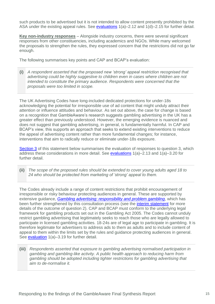such products to be advertised but it is not intended to allow content presently prohibited by the ASA under the existing appeal rules. See [evaluations](https://www.asa.org.uk/resource/Gambling-consultation-evaluation-table-Q1-2022.html) 1(a)–2.12 and 1(d)–2.15 for further detail.

**Key non-industry responses** – Alongside industry concerns, there were several significant responses from other constituencies, including academics and NGOs. While many welcomed the proposals to strengthen the rules, they expressed concern that the restrictions did not go far enough.

The following summarises key points and CAP and BCAP's evaluation:

**(i)** *A respondent asserted that the proposed new 'strong' appeal restriction recognised that advertising could be highly suggestive to children even in cases where children are not intended to constitute the primary audience. Respondents were concerned that the proposals were too limited in scope.* 

The UK Advertising Codes have long-included dedicated protections for under-18s acknowledging the potential for irresponsible use of ad content that might unduly attract their attention or influence attitudes and behaviour. As set out above, the case for change is based on a recognition that GambleAware's research suggests gambling advertising in the UK has a greater effect than previously understood. However, the emerging evidence is nuanced and does not suggest that gambling advertising, in general, is fundamentally harmful. In CAP and BCAP's view, this supports an approach that seeks to extend existing interventions to reduce the appeal of advertising content rather than more fundamental changes; for instance, interventions that aim to radically reduce or eliminate under-18s exposure.

[Section 3](#page-32-0) of this statement below summarises the evaluation of responses to question 3, which address these considerations in more detail. See [evaluations](https://www.asa.org.uk/resource/Gambling-consultation-evaluation-table-Q1-2022.html) 1(a)–2.13 and 1(a)–3.20 for further detail.

**(ii)** *The scope of the proposed rules should be extended to cover young adults aged 18 to 24 who should be protected from marketing of 'strong' appeal to them.* 

The Codes already include a range of content restrictions that prohibit encouragement of irresponsible or risky behaviour protecting audiences in general. These are supported by extensive guidance, *[Gambling advertising: responsibility and problem gambling](https://www.asa.org.uk/uploads/assets/uploaded/bb5292af-96f3-4c28-94a031dbfdfde3d8.pdf)*, which has been further strengthened by this consultation process (see the [interim statement](https://www.asa.org.uk/uploads/assets/fcad0983-dc85-49d7-ae6f72f68c16f2e6/Gambling-consultation-regulatory-statement-2021.pdf) for more details of the outcome of question 2). CAP and BCAP must conform to the underlying legal framework for gambling products set out in the Gambling Act 2005. The Codes cannot unduly restrict gambling advertising that legitimately seeks to reach those who are legally allowed to participate in licensed gambling activities. 18-24s are of legal age to participate in gambling. It is therefore legitimate for advertisers to address ads to them as adults and to include content of appeal to them within the limits set by the rules and guidance protecting audiences in general. See [evaluation](https://www.asa.org.uk/resource/Gambling-consultation-evaluation-table-Q1-2022.html) 1(a)–3.19 for further detail.

**(iii)** *Respondents asserted that exposure to gambling advertising normalised participation in gambling and gambling-like activity. A public health approach to reducing harm from gambling should be adopted including tighter restrictions for gambling advertising that aim to de-normalise it.*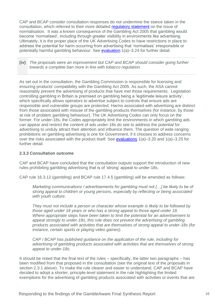CAP and BCAP consider consultation responses do not undermine the stance taken in the consultation, which referred to their more detailed [regulatory statement](https://www.asa.org.uk/uploads/assets/uploaded/e517f21a-9d40-4a46-b2a0da254f04af7f.pdf) on the issue of normalisation. It was a known consequence of the Gambling Act 2005 that gambling would become 'normalised', including through greater visibility in environments like advertising. Ultimately, it is the proper place of the UK Advertising Codes to have restrictions in place to address the potential for harm occurring from advertising that 'normalises' irresponsible or potentially harmful gambling behaviour. See [evaluation](https://www.asa.org.uk/resource/Gambling-consultation-evaluation-table-Q1-2022.html) 1(a)–3.24 for further detail.

**(iv)** *The proposals were an improvement but CAP and BCAP should consider going further towards a complete ban more in line with tobacco regulation.*

As set out in the consultation, the Gambling Commission is responsible for licensing and ensuring products' compatibility with the Gambling Act 2005. As such, the ASA cannot reasonably prevent the advertising of products that have met those requirements. Legislation controlling gambling in Britain is premised on gambling being a 'legitimate leisure activity', which specifically allows operators to advertise subject to controls that ensure ads are responsible and vulnerable groups are protected. Harms associated with advertising are distinct from those associated with misuse of the gambling products themselves (for instance, by those at risk of problem gambling behaviour). The UK Advertising Codes can only focus on the former. For under-18s, the Codes appropriately limit the environments in which gambling ads can appear and restrict the content of ads under-18s do see to address the potential for advertising to unduly attract their attention and influence them. The question of wide-ranging prohibitions on gambling advertising is one for Government, if it chooses to address concerns over the risks associated with the product itself. See [evaluations](https://www.asa.org.uk/resource/Gambling-consultation-evaluation-table-Q1-2022.html) 1(a)–3.20 and 1(a)–3.25 for further detail.

#### **2.3.3 Consultation outcome**

CAP and BCAP have concluded that the consultation outputs support the introduction of new rules prohibiting gambling advertising that is of 'strong' appeal to under-18s.

CAP rule 16.3.12 (gambling) and BCAP rule 17.4.5 (gambling) will be amended as follows:

*Marketing communications / advertisements for gambling must not […] be likely to be of strong appeal to children or young persons, especially by reflecting or being associated with youth culture.* 

*They must not include a person or character whose example is likely to be followed by those aged under 18 years or who has a strong appeal to those aged under 18. Where appropriate steps have been taken to limit the potential for an advertisement to appeal strongly to under-18s, this rule does not prevent the advertising of gambling products associated with activities that are themselves of strong appeal to under-18s (for instance, certain sports or playing video games).* 

*CAP / BCAP has published guidance on the application of the rule, including for advertising of gambling products associated with activities that are themselves of strong appeal to under-18s.*

It should be noted that the final text of the rules – specifically, the latter two paragraphs – has been modified from that proposed in the consultation (see the original text of the proposals in section 2.3.1 above). To make the rule clearer and easier to understand, CAP and BCAP have decided to adopt a shorter, principle-level statement in the rule highlighting the limited exemptions for the advertising of gambling products associated with activities or events that are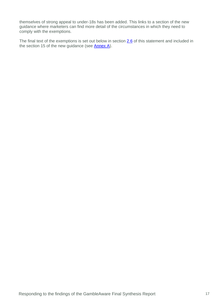themselves of strong appeal to under-18s has been added. This links to a section of the new guidance where marketers can find more detail of the circumstances in which they need to comply with the exemptions.

The final text of the exemptions is set out below in section [2.6](#page-24-0) of this statement and included in the section 15 of the new guidance (see  $\frac{\text{Annex A}}{\text{A}}$ ).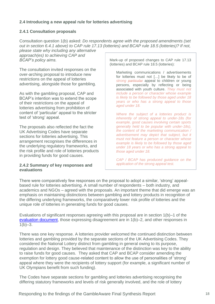## <span id="page-17-0"></span>**2.4 Introducing a new appeal rule for lotteries advertising**

#### **2.4.1 Consultation proposals**

Consultation question 1(b) asked: *Do respondents agree with the proposed amendments (set out in section 6.4.1 above) to CAP rule 17.13 (lotteries) and BCAP rule 18.5 (lotteries)? If not,* 

*please state why including any alternative approach(es) to achieving CAP and BCAP's policy aims.*

The consultation invited responses on the over-arching proposal to introduce new restrictions on the appeal of lotteries advertising, alongside those for gambling.

As with the gambling proposal, CAP and BCAP's intention was to extend the scope of their restrictions on the appeal of lotteries advertising from prohibition of content of 'particular' appeal to the stricter test of 'strong' appeal.

The proposals also reflected the fact the UK Advertising Codes have separate sections for lotteries advertising. This arrangement recognises the differences in the underlying regulatory frameworks, and the risk profile and role of lotteries products in providing funds for good causes.

#### **2.4.2 Summary of key responses and evaluations**

Mark-up of proposed changes to CAP rule 17.13 (lotteries) and BCAP rule 18.5 (lotteries):

Marketing communications / advertisements for lotteries must not […] be likely to be of *strong particular* appeal to children or young persons, especially by reflecting or being associated with youth culture. *They must not include a person or character whose example is likely to be followed by those aged under 18 years or who has a strong appeal to those aged under 18.*

*Where the subject of a lotteries product is inherently of strong appeal to under-18s (for example, good causes involving certain sports generally held to be popular with under-18s), the content of the marketing communication / advertisement may depict that subject, but it must not feature a person or character whose example is likely to be followed by those aged under 18 years or who has a strong appeal to those aged under 18.* 

*CAP / BCAP has produced guidance on the application of the strong appeal test.* 

There were comparatively few responses on the proposal to adopt a similar, 'strong' appealbased rule for lotteries advertising. A small number of respondents – both industry, and academics and NGOs – agreed with the proposals. An important theme that did emerge was an emphasis on maintaining distinctions between gambling and lottery products in recognition of the differing underlying frameworks, the comparatively lower risk profile of lotteries and the unique role of lotteries in generating funds for good causes.

Evaluations of significant responses agreeing with this proposal are in section 1(b)–1 of the evaluation [document,](https://www.asa.org.uk/resource/Gambling-consultation-evaluation-table-Q1-2022.html) those expressing disagreement are in 1(b)–2, and other responses in  $1(b)-3.$ 

There was one key response. A lotteries provider welcomed the continued distinction between lotteries and gambling provided by the separate sections of the UK Advertising Codes. They considered the National Lottery distinct from gambling in general owing to its purpose, regulation and design. They believed that maintenance of the distinction was key to the ability to raise funds for good causes. They asked that CAP and BCAP consider amending the exemption for lottery good cause-related content to allow the use of personalities of 'strong' appeal where they were the recipients of lottery support (for example, a significant number of UK Olympians benefit from such funding).

The Codes have separate sections for gambling and lotteries advertising recognising the differing statutory frameworks and levels of risk generally involved, and the role of lottery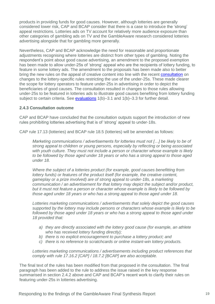products in providing funds for good causes. However, although lotteries are generally considered lower risk, CAP and BCAP consider that there is a case to introduce the 'strong' appeal restrictions. Lotteries ads on TV account for relatively more audience exposure than other categories of gambling ads on TV and the GambleAware research considered lotteries advertising alongside that for gambling more generally.

Nevertheless, CAP and BCAP acknowledge the need for reasonable and proportionate adjustments recognising where lotteries are distinct from other types of gambling. Noting the respondent's point about good cause advertising, an amendment to the proposed exemption has been made to allow under-25s of 'strong' appeal who are the recipients of lottery funding, to feature in some lottery ads. The amendment to the proposals has been made also to better bring the new rules on the appeal of creative content into line with the recent [consultation](https://www.asa.org.uk/uploads/assets/9d884a58-e6b1-42f7-aca94a94013b64f5/Children-young-people-and-Lotteries-consultation.pdf) on changes to the lottery-specific rules restricting the use of the under-25s. These made clearer the scope for lottery operators to feature under-25s in advertising in order to depict the beneficiaries of good causes. The consultation resulted in changes to those rules allowing under-25s to be featured in lotteries ads to illustrate good causes benefiting from lottery funding subject to certain criteria. See [evaluations](https://www.asa.org.uk/resource/Gambling-consultation-evaluation-table-Q1-2022.html)  $1(b)$ –3.1 and  $1(b)$ –3.3 for further detail.

#### **2.4.3 Consultation outcome**

CAP and BCAP have concluded that the consultation outputs support the introduction of new rules prohibiting lotteries advertising that is of 'strong' appeal to under-18s.

CAP rule 17.13 (lotteries) and BCAP rule 18.5 (lotteries) will be amended as follows:

*Marketing communications / advertisements for lotteries must not […] be likely to be of strong appeal to children or young persons, especially by reflecting or being associated with youth culture. They must not include a person or character whose example is likely to be followed by those aged under 18 years or who has a strong appeal to those aged under 18.*

*Where the subject of a lotteries product (for example, good causes benefitting from lottery funds) or features of the product itself (for example, the creative content, gameplay or a prize involved) are of strong appeal to under-18s, a marketing communication / an advertisement for that lottery may depict the subject and/or product, but it must not feature a person or character whose example is likely to be followed by those aged under 18 years or who has a strong appeal to those aged under 18.*

*Lotteries marketing communications / advertisements that solely depict the good causes supported by the lottery may include persons or characters whose example is likely to be followed by those aged under 18 years or who has a strong appeal to those aged under 18 provided that:* 

- *a) they are directly associated with the lottery good cause (for example, an athlete who has received lottery funding directly);*
- *b) there is no explicit encouragement to purchase a lottery product; and*
- *c) there is no reference to scratchcards or online instant-win lottery products.*

*Lotteries marketing communications / advertisements including product references that comply with rule 17.16.2 [CAP] / 18.7.2 [BCAP] are also acceptable.*

The final text of the rules has been modified from that proposed in the consultation. The final paragraph has been added to the rule to address the issue raised in the key response summarised in section 2.4.2 above and CAP and BCAP's recent work to clarify their rules on featuring under-25s in lotteries advertising.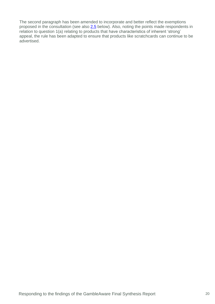The second paragraph has been amended to incorporate and better reflect the exemptions proposed in the consultation (see also [2.5](#page-20-0) below). Also, noting the points made respondents in relation to question 1(a) relating to products that have characteristics of inherent 'strong' appeal, the rule has been adapted to ensure that products like scratchcards can continue to be advertised.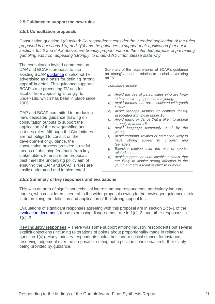#### <span id="page-20-0"></span>**2.5 Guidance to support the new rules**

#### **2.5.1 Consultation proposals**

Consultation question 1(c) asked: *Do respondents consider the intended application of the rules proposed in questions 1(a) and 1(b) and the guidance to support their application (set out in sections 6.4.2 and 6.4.3 above) are broadly proportionate to the intended purpose of preventing gambling ads from appealing 'strongly' to under-18s? If not, please state why.*

The consultation invited comments on CAP and BCAP's proposal to use existing BCAP [guidance](https://www.asa.org.uk/resource/alcohol-tv-ads.html) on alcohol TV advertising as a basis for defining 'strong appeal' in detail. This guidance supports BCAP's rule preventing TV ads for alcohol from appealing 'strongly' to under-18s, which has been in place since 2006.

CAP and BCAP committed to producing new, dedicated guidance drawing on consultation outputs to support the application of the new gambling and lotteries rules. Although the Committees are not obliged to consult on the development of guidance, the consultation process provided a useful means of obtaining feedback from key stakeholders to ensure the proposals best meet the underlying policy aim of ensuring the CAP and BCAP's rules are easily understood and implemented.

Summary of the requirements of BCAP's guidance on 'strong' appeal in relation to alcohol advertising on TV.

*Marketers should:*

- *a) Avoid the use of personalities who are likely to have a strong appeal to the young.*
- *b) Avoid themes that are associated with youth culture.*
- *c) Avoid teenage fashion or clothing mostly associated with those under 18.*
- *d) Avoid music or dance that is likely to appeal strongly to under-18s.*
- *e) Avoid language commonly used by the young.*
- *f) Avoid cartoons, rhymes or animation likely to have strong appeal to children and teenagers.*
- *g) Exercise caution over the use of sportsrelated content.*
- *h) Avoid puppets or cute lovable animals that are likely to inspire strong affection in the young and adolescent or childish humour.*

#### **2.5.2 Summary of key responses and evaluations**

This was an area of significant technical interest among respondents, particularly industry parties, who considered it central to the wider proposals owing to the envisaged guidance's role in determining the definition and application of the 'strong' appeal test.

Evaluations of significant responses agreeing with this proposal are in section 1(c)–1 of the [evaluation document,](https://www.asa.org.uk/resource/Gambling-consultation-evaluation-table-Q1-2022.html) those expressing disagreement are in 1(c)–2, and other responses in  $1(c)-3.$ 

**Key industry responses** – There was some support among industry respondents but several explicit objections (including reiterations of points about proportionality made in relation to question 1(a)). Many industry respondents took a hesitant or critical stance, for instance, reserving judgement over the proposal or setting out a position conditional on further clarity being provided by guidance.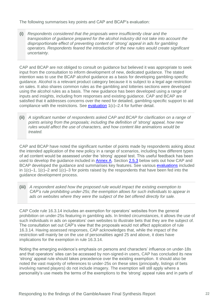The following summarises key points and CAP and BCAP's evaluation:

**(i)** *Respondents considered that the proposals were insufficiently clear and the transposition of guidance prepared for the alcohol industry did not take into account the disproportionate effect of preventing content of 'strong' appeal in ads for gambling operators. Respondents feared the introduction of the new rules would create significant uncertainty.*

CAP and BCAP are not obliged to consult on guidance but believed it was appropriate to seek input from the consultation to inform development of new, dedicated guidance. The stated intention was to use the BCAP alcohol guidance as a basis for developing gambling-specific guidance. Alcohol is a relevant product category because it is subject to a legal age restriction on sales. It also shares common rules as the gambling and lotteries sections were developed using the alcohol rules as a basis. The new guidance has been developed using a range of inputs and insights, including from responses and existing guidance. CAP and BCAP are satisfied that it addresses concerns over the need for detailed, gambling-specific support to aid compliance with the restrictions. See [evaluation](https://www.asa.org.uk/resource/Gambling-consultation-evaluation-table-Q1-2022.html) 1(c)–2.4 for further detail.

**(ii)** *A significant number of respondents asked CAP and BCAP for clarification on a range of points arising from the proposals; including the definition of 'strong' appeal, how new rules would affect the use of characters, and how content like animations would be treated.*

CAP and BCAP have noted the significant number of points made by respondents asking about the intended application of the new policy in a range of scenarios, including how different types of ad content would be assessed under the 'strong' appeal test. This useful feedback has been used to develop the guidance included in [Annex A.](https://www.asa.org.uk/resource/Gambling-consultation-guidance-annex-2022.html) Section [2.5.3](#page-22-0) below sets out how CAP and BCAP developed the guidance and summarises key features. See various [evaluations](https://www.asa.org.uk/resource/Gambling-consultation-evaluation-table-Q1-2022.html) included in  $1(c)-1$ ,  $1(c)-2$  and  $1(c)-3$  for points raised by the respondents that have been fed into the guidance development process.

**(iii)** *A respondent asked how the proposed rule would impact the existing exemption to CAP's rule prohibiting under-25s; the exemption allows for such individuals to appear in ads on websites where they were the subject of the bet offered directly for sale.*

CAP Code rule 16.3.14 includes an exemption for operators' websites from the general prohibition on under-25s featuring in gambling ads. In limited circumstances, it allows the use of such individuals in ads on operators' own websites to illustrate bets that they are the subject of. The consultation set out CAP's view that the proposals would not affect application of rule 16.3.14. Having assessed responses, CAP acknowledges that, while the impact of the restriction will mainly be on the use of personalities aged 25 and above, it does have implications for the exemption in rule 16.3.14.

Noting the emerging evidence's emphasis on persons and characters' influence on under-18s and that operators' sites can be accessed by non-signed-in users, CAP has concluded its new 'strong' appeal rule should takes precedence over the existing exemption. It should also be noted the vast majority of references to under-25s on these sites (principally, listings of bets involving named players) do not include imagery. The exemption will still apply where a personality's use meets the terms of the exemptions to the 'strong' appeal rules and in parts of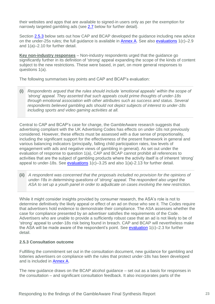their websites and apps that are available to signed-in users only as per the exemption for narrowly targeted gambling ads (see [2.7](#page-29-0) below for further detail).

Section [2.5.3](#page-22-0) below sets out how CAP and BCAP developed the guidance including new advice on the under-25s rules; the full guidance is available in [Annex A.](https://www.asa.org.uk/resource/Gambling-consultation-guidance-annex-2022.html) See also [evaluations](https://www.asa.org.uk/resource/Gambling-consultation-evaluation-table-Q1-2022.html) 1(c)–2.9 and 1(a)–2.10 for further detail.

**Key non-industry responses** – Non-industry respondents urged that the guidance go significantly further in its definition of 'strong' appeal expanding the scope of the kinds of content subject to the new restrictions. These were based, in part, on more general responses to questions 1(a).

The following summarises key points and CAP and BCAP's evaluation:

**(i)** *Respondents argued that the rules should include 'emotional appeals' within the scope of 'strong' appeal. They asserted that such appeals could prime thoughts of under-18s through emotional association with other attributes such as success and status. Several respondents believed gambling ads should not depict subjects of interest to under-18s including sports and video gaming activities at all.*

Central to CAP and BCAP's case for change, the GambleAware research suggests that advertising compliant with the UK Advertising Codes has effects on under-18s not previously considered. However, these effects must be assessed with a due sense of proportionality, including the significant support for the effectiveness of the present framework in general and various balancing indicators (principally, falling child participation rates, low levels of engagement with ads and negative views of gambling in general). As set out under the evaluation of response to question 1(a), CAP and BCAP cannot prohibit all references to activities that are the subject of gambling products where the activity itself is of inherent 'strong' appeal to under-18s. See [evaluations](https://www.asa.org.uk/resource/Gambling-consultation-evaluation-table-Q1-2022.html) 1(c)–3.25 and also 1(a)-2.13 for further detail.

**(ii)** *A respondent was concerned that the proposals included no provision for the opinions of under-18s in determining questions of 'strong' appeal. The respondent also urged the ASA to set up a youth panel in order to adjudicate on cases involving the new restriction.*

While it might consider insights provided by consumer research, the ASA's role is not to determine definitively the likely appeal or effect of an ad on those who see it. The Codes require that advertisers hold evidence to demonstrate their compliance. The ASA assesses whether the case for compliance presented by an advertiser satisfies the requirements of the Code. Advertisers who are unable to provide a sufficiently robust case that an ad is not likely to be of 'strong' appeal to under-18s risk being found in breach. CAP and BCAP will nevertheless make the ASA will be made aware of the respondent's point. See [evaluation](https://www.asa.org.uk/resource/Gambling-consultation-evaluation-table-Q1-2022.html) 1(c)–2.3 for further detail.

#### <span id="page-22-0"></span>**2.5.3 Consultation outcome**

Fulfilling the commitment set out in the consultation document, new guidance for gambling and lotteries advertisers on compliance with the rules that protect under-18s has been developed and is included in [Annex A.](https://www.asa.org.uk/resource/Gambling-consultation-guidance-annex-2022.html)

The new guidance draws on the BCAP alcohol guidance – set out as a basis for responses in the consultation – and significant consultation feedback. It also incorporates parts of the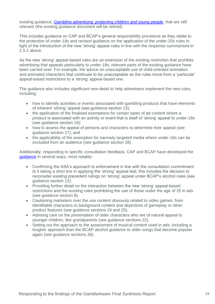existing guidance, *[Gambling advertising: protecting children and young people](https://www.asa.org.uk/uploads/assets/uploaded/734c1499-850d-4d2f-88a441ffd1903b50.pdf)*, that are still relevant (the existing guidance document will be retired).

This includes guidance on CAP and BCAP's general responsibility provisions as they relate to the protection of under-18s and revised guidance on the application of the under-25s rules in light of the introduction of the new 'strong' appeal rules in line with the response summarised in 2.5.2 above.

As the new 'strong' appeal-based rules are an extension of the existing restriction that prohibits advertising that appeals particularly to under-18s, relevant parts of the existing guidance have been carried over. For example, the advice on unacceptable use of child-oriented animation and animated characters that continues to be unacceptable as the rules move from a 'particular' appeal-based restrictions to a 'strong' appeal-based one.

The guidance also includes significant new detail to help advertisers implement the new rules, including:

- how to identify activities or events associated with gambling products that have elements of inherent 'strong' appeal (see guidance section 13);
- the application of the finalised exemptions for certain types of ad content where a product is associated with an activity or event that is itself of 'strong' appeal to under-18s (see guidance section 15);
- how to assess the appeal of persons and characters to determine their appeal (see guidance section 17); and
- the applicability of the exemption for narrowly targeted media where under-18s can be excluded from an audience (see guidance section 28).

Additionally, responding to specific consultation feedback, CAP and BCAP have developed the quidance in several ways, most notably:

- Confirming the ASA's approach to enforcement in line with the consultation commitment to it taking a strict line in applying the 'strong' appeal test; this includes the decision to reconsider existing precedent rulings on 'strong' appeal under BCAP's alcohol rules (see guidance section 12).
- Providing further detail on the interaction between the new 'strong' appeal-based restrictions and the existing rules prohibiting the use of those under the age of 25 in ads (see guidance section 8).
- Cautioning marketers over the use content obviously related to video games; from identifiable characters to background content and depictions of gameplay or other product features (see guidance sections 24 and 25).
- Advising care on the presentation of older characters who are of natural appeal to younger children, like grandparents (see guidance sections 22).
- Setting out the approach to the assessment of musical content used in ads: including a tougher approach than the BCAP alcohol guidance to older songs that become popular again (see guidance sections 26).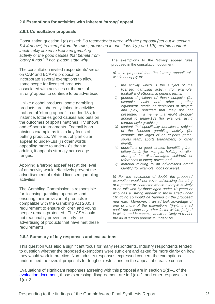## <span id="page-24-0"></span>**2.6 Exemptions for activities with inherent 'strong' appeal**

#### **2.6.1 Consultation proposals**

Consultation question 1(d) asked: *Do respondents agree with the proposal (set out in section 6.4.4 above) to exempt from the rules, proposed in questions 1(a) and 1(b), certain content* 

*inextricably linked to licensed gambling activity or the good causes that benefit from lottery funds? If not, please state why.*

The consultation invited respondents' views on CAP and BCAP's proposal to incorporate several exemptions to allow some scope for licensed products associated with activities or themes of 'strong' appeal to continue to be advertised.

Unlike alcohol products, some gambling products are inherently linked to activities that are of 'strong appeal' to under-18s; for instance, lotteries good causes and bets on the outcomes of sports matches, TV shows and eSports tournaments. Football is an obvious example as it is a key focus of betting products. While not of 'particular appeal' to under-18s (in other words appealing more to under-18s than to adults), it appeals strongly across age ranges.

Applying a 'strong appeal' test at the level of an activity would effectively prevent the advertisement of related licensed gambling activities.

The Gambling Commission is responsible for licensing gambling operators and ensuring their provision of products is compatible with the Gambling Act 2005's requirement to ensure children and young people remain protected. The ASA could not reasonably prevent entirely the advertising of products that have met these requirements.

The exemptions to the 'strong' appeal rules proposed in the consultation document:

*a) It is proposed that the 'strong appeal' rule would not apply to:*

- *i) the activity which is the subject of the licensed gambling activity (for example, football and eSports) in general terms;*
- *ii) generic depictions of these subjects (for example, balls and other sporting equipment, stadia or depictions of players and play) provided that they are not presented in a manner that might 'strongly' appeal to under-18s (for example, using cartoon-style graphics);*
- *iii) content that specifically identifies a subject of the licensed gambling activity (for example, the logos of an eSports game, sports team, sports tournament, or other event);*
- *iv) depictions of good causes benefitting from lottery funds (for example, holiday activities arranged for disadvantaged children) or references to lottery prizes; and*
- *v) material relating to an advertiser's brand identity (for example, logos or livery).*

*b) For the avoidance of doubt, the proposed exemption would not cover advertising featuring of a person or character whose example is likely to be followed by those aged under 18 years or who has a 'strong appeal' to those aged under 18: doing so would be banned by the proposed new rule. Moreover, if an ad took advantage of one or more of the exemptions (i)-(v), the ad could not include any other factor which, judged in whole and in context, would be likely to render the ad of 'strong appeal' to under-18s.*

#### **2.6.2 Summary of key responses and evaluations**

This question was also a significant focus for many respondents. Industry respondents tended to question whether the proposed exemptions were sufficient and asked for more clarity on how they would work in practice. Non-industry responses expressed concern the exemptions undermined the overall proposals for tougher restrictions on the appeal of creative content.

Evaluations of significant responses agreeing with this proposal are in section 1(d)–1 of the [evaluation document,](https://www.asa.org.uk/resource/Gambling-consultation-evaluation-table-Q1-2022.html) those expressing disagreement are in 1(d)–2, and other responses in  $1(d)-3$ .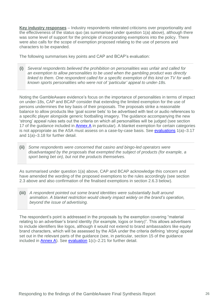**Key industry responses** – Industry respondents reiterated criticisms over proportionality and the effectiveness of the status quo (as summarised under question 1(a) above), although there was some level of support for the principle of incorporating exemptions into the policy. There were also calls for the scope of exemption proposed relating to the use of persons and characters to be expanded.

The following summarises key points and CAP and BCAP's evaluation:

**(i)** *Several respondents believed the prohibition on personalities was unfair and called for an exemption to allow personalities to be used when the gambling product was directly linked to them. One respondent called for a specific exemption of this kind on TV for wellknown sports personalities who were not of 'particular' appeal to under-18s.*

Noting the GambleAware evidence's focus on the importance of personalities in terms of impact on under-18s, CAP and BCAP consider that extending the limited exemption for the use of persons undermines the key basis of their proposals. The proposals strike a reasonable balance to allow products like 'goal scorer bets' to be advertised with text or audio references to a specific player alongside generic footballing imagery. The guidance accompanying the new 'strong' appeal rules sets out the criteria on which all personalities will be judged (see section 17 of the guidance included in [Annex A](https://www.asa.org.uk/resource/Gambling-consultation-guidance-annex-2022.html) in particular). A blanket exemption for certain categories is not appropriate as the ASA must assess on a case-by-case basis. See [evaluations](https://www.asa.org.uk/resource/Gambling-consultation-evaluation-table-Q1-2022.html) 1(a)–3.17 and 1(a)–3.18 for further detail.

**(ii)** *Some respondents were concerned that casino and bingo-led operators were disadvantaged by the proposals that exempted the subject of products (for example, a sport being bet on), but not the products themselves.*

As summarised under question 1(a) above, CAP and BCAP acknowledge this concern and have amended the wording of the proposed exemptions to the rules accordingly (see section 2.3 above and also confirmation of the finalised exemptions in section 2.6.3 below).

**(iii)** *A respondent pointed out some brand identities were substantially built around animation. A blanket restriction would clearly impact widely on the brand's operation, beyond the issue of advertising.* 

The respondent's point is addressed in the proposals by the exemption covering "material relating to an advertiser's brand identity (for example, logos or livery)". This allows advertisers to include identifiers like logos, although it would not extend to brand ambassadors like equity brand characters, which will be assessed by the ASA under the criteria defining 'strong' appeal set out in the relevant parts of the guidance (see, in particular, section 15 of the guidance included in [Annex A\)](https://www.asa.org.uk/resource/Gambling-consultation-guidance-annex-2022.html). See [evaluation](https://www.asa.org.uk/resource/Gambling-consultation-evaluation-table-Q1-2022.html) 1(c)–2.21 for further detail.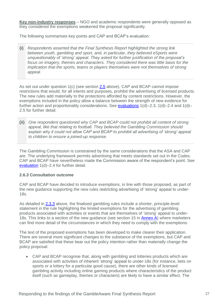**Key non-industry responses** – NGO and academic respondents were generally opposed as they considered the exemptions weakened the proposal significantly.

The following summarises key points and CAP and BCAP's evaluation:

**(i)** *Respondents asserted that the Final Synthesis Report highlighted the strong link between youth, gambling and sport, and, in particular, they believed eSports were unquestionably of 'strong' appeal. They asked for further justification of the proposal's focus on imagery, themes and characters. They considered there was little basis for the implication that the sports, teams or players themselves were not themselves of strong appeal.*

As set out under question 1(c) (see section [2.5](#page-20-0) above), CAP and BCAP cannot impose restrictions that would, for all intents and purposes, prohibit the advertising of licensed products. The new rules add materially to the protections afforded by content restrictions. However, the exemptions included in the policy allow a balance between the strength of new evidence for further action and proportionality considerations. See [evaluations](https://www.asa.org.uk/resource/Gambling-consultation-evaluation-table-Q1-2022.html) 1(d)–2.3, 1(d)–2.4 and 1(d)– 2.5 for further detail.

**(ii)** *One respondent questioned why CAP and BCAP could not prohibit all content of strong appeal, like that relating to football. They believed the Gambling Commission should explain why it could not allow CAP and BCAP to prohibit all advertising of 'strong' appeal to children to ensure a joined-up response.*

The Gambling Commission is constrained by the same considerations that the ASA and CAP are. The underlying framework permits advertising that meets standards set out in the Codes. CAP and BCAP have nevertheless made the Commission aware of the respondent's point. See [evaluation](https://www.asa.org.uk/resource/Gambling-consultation-evaluation-table-Q1-2022.html) 1(d)–2.4 for further detail.

#### <span id="page-26-0"></span>**2.6.3 Consultation outcome**

CAP and BCAP have decided to introduce exemptions, in line with those proposed, as part of the new guidance supporting the new rules restricting advertising of 'strong' appeal to under-18s.

As detailed in [2.3.3](#page-11-0) above, the finalised gambling rules include a shorter, principle-level statement in the rule highlighting the limited exemptions for the advertising of gambling products associated with activities or events that are themselves of 'strong' appeal to under-18s. This links to a section of the new quidance (see section 15 in [Annex A\)](https://www.asa.org.uk/resource/Gambling-consultation-guidance-annex-2022.html) where marketers can find more detail of the circumstances in which they need to comply with the exemptions.

The text of the proposed exemptions has been developed to make clearer their application. There are several more significant changes to the substance of the exemptions, but CAP and BCAP are satisfied that these bear out the policy intention rather than materially change the policy proposal:

• CAP and BCAP recognise that, along with gambling and lotteries products which are associated with activities of inherent 'strong' appeal to under-18s (for instance, bets on sports or a lottery for a particular good cause), there are other kinds of licensed gambling activity including online gaming products where characteristics of the product itself (such as gameplay, themes or characters) are likely to have a similar effect. The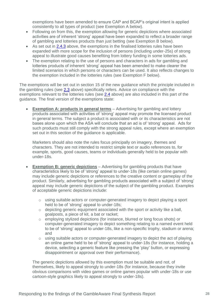exemptions have been amended to ensure CAP and BCAP's original intent is applied consistently to all types of product (see Exemption A below).

- Following on from this, the exemption allowing for generic depictions where associated activities are of inherent 'strong' appeal have been expanded to reflect a broader range of gambling and lotteries products than just betting (see Exemption B below).
- As set out in [2.4.3](#page-17-0) above, the exemptions in the finalised lotteries rules have been expanded with more scope for the inclusion of persons (including under-25s) of strong appeal to illustrate good causes benefiting from lottery funding in some lotteries ads.
- The exemption relating to the use of persons and characters in ads for gambling and lotteries products of inherent 'strong' appeal has been amended to make clearer the limited scenarios in which persons or characters can be used. It also reflects changes to the exemption included in the lotteries rules (see Exemption F below).

The exemptions will be set out in section 15 of the new guidance which the principle included in the gambling rules (see [2.3](#page-11-0) above) specifically refers. Advice on compliance with the exemptions relevant to the lotteries rules (see [2.4](#page-17-0) above) are also included in this part of the guidance. The final version of the exemptions state:

**Exemption A: products in general terms** – Advertising for gambling and lottery products associated with activities of 'strong' appeal may promote the licensed product in general terms. The subject a product is associated with or its characteristics are not bases alone upon which the ASA will conclude that an ad is of 'strong' appeal. Ads for such products must still comply with the strong appeal rules, except where an exemption set out in this section of the guidance is applicable.

Marketers should also note the rules focus principally on imagery, themes and characters. They are not intended to restrict simple text or audio references to, for example, sports, good causes, teams or individuals generally held to be popular with under-18s.

- **Exemption B: generic depictions** Advertising for gambling products that have characteristics likely to be of 'strong' appeal to under-18s (like certain online games) may include generic depictions or references to the creative content or gameplay of the product. Similarly, advertising for gambling products associated with a subject of 'strong' appeal may include generic depictions of the subject of the gambling product. Examples of acceptable generic depictions include:
	- o using suitable actors or computer-generated imagery to depict playing a sport held to be of 'strong' appeal to under-18s:
	- $\circ$  depicting generic equipment associated with the sport or activity like a ball, goalposts, a piece of kit, a bat or racket;
	- o employing stylized depictions (for instance, blurred or long focus shots) or computer-generated imagery to depict something relating to a named event held to be of 'strong' appeal to under-18s, like a non-specific trophy, stadium or arena; and
	- o using suitable actors or computer-generated imagery to depict the act of playing an online game held to be of 'strong' appeal to under-18s (for instance, holding a device, selecting a generic feature like pressing the 'play' button, or expressing disappointment or approval over their performance).

The generic depictions allowed by this exemption must be suitable and not, of themselves, likely to appeal strongly to under-18s (for instance, because they invite obvious comparisons with video games or online games popular with under-18s or use cartoon-style graphics likely to appeal strongly to under-18s).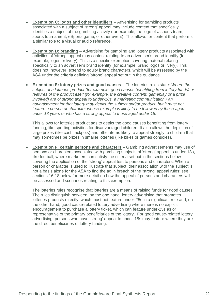- **Exemption C: logos and other identifiers** Advertising for gambling products associated with a subject of 'strong' appeal may include content that specifically identifies a subject of the gambling activity (for example, the logo of a sports team, sports tournament, eSports game, or other event). This allows for content that performs a similar role to a visual or audio reference.
- **Exemption D: branding** Advertising for gambling and lottery products associated with activities of 'strong' appeal may content relating to an advertiser's brand identity (for example, logos or livery). This is a specific exemption covering material relating specifically to an advertiser's brand identity (for example, brand logos or livery). This does not, however, extend to equity brand characters, which will be assessed by the ASA under the criteria defining 'strong' appeal set out in the guidance.
- **Exemption E: lottery prizes and good causes** The lotteries rules state: *Where the subject of a lotteries product (for example, good causes benefitting from lottery funds) or features of the product itself (for example, the creative content, gameplay or a prize involved) are of strong appeal to under-18s, a marketing communication / an*  advertisement for that lottery may depict the subject and/or product, but it must not *feature a person or character whose example is likely to be followed by those aged under 18 years or who has a strong appeal to those aged under 18.*

This allows for lotteries product ads to depict the good causes benefitting from lottery funding, like sporting activities for disadvantaged children. It also allows the depiction of large prizes (like cash jackpots) and other items likely to appeal strongly to children that may sometimes be prizes in smaller lotteries (like bikes or games consoles).

• **Exemption F: certain persons and characters** – Gambling advertisements may use of persons or characters associated with gambling subjects of 'strong' appeal to under-18s, like football, where marketers can satisfy the criteria set out in the sections below covering the application of the 'strong' appeal test to persons and characters. When a person or character is used to illustrate that subject, their association with the subject is not a basis alone for the ASA to find the ad in breach of the 'strong' appeal rules; see sections 16-18 below for more detail on how the appeal of persons and characters will be assessed and scenarios relating to this exemption.

The lotteries rules recognise that lotteries are a means of raising funds for good causes. The rules distinguish between, on the one hand, lottery advertising that promotes lotteries products directly, which must not feature under-25s in a significant role and, on the other hand, good cause-related lottery advertising where there is no explicit encouragement to purchase a lottery ticket, which can feature under-25s as or representative of the primary beneficiaries of the lottery. For good cause-related lottery advertising, persons who have 'strong' appeal to under-18s may feature where they are the direct beneficiaries of lottery funding.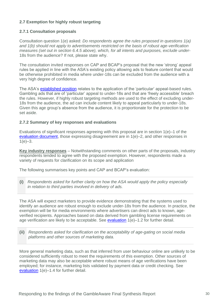## <span id="page-29-0"></span>**2.7 Exemption for highly robust targeting**

#### **2.7.1 Consultation proposals**

Consultation question 1(e) asked: *Do respondents agree the rules proposed in questions 1(a) and 1(b) should not apply to advertisements restricted on the basis of robust age-verification measures (set out in section 6.4.5 above), which, for all intents and purposes, exclude under-*18s from the audience? If not, please state why.

The consultation invited responses on CAP and BCAP's proposal that the new 'strong' appeal rules be applied in line with the ASA's existing policy allowing ads to feature content that would be otherwise prohibited in media where under-18s can be excluded from the audience with a very high degree of confidence.

The ASA's **established position** relates to the application of the 'particular' appeal-based rules. Gambling ads that are of 'particular' appeal to under-18s and that are 'freely accessible' breach the rules. However, if highly robust targeting methods are used to the effect of excluding under-18s from the audience, the ad can include content likely to appeal particularly to under-18s. Given this age group's absence from the audience, it is proportionate for the protection to be set aside.

#### **2.7.2 Summary of key responses and evaluations**

Evaluations of significant responses agreeing with this proposal are in section 1(e)–1 of the [evaluation document,](https://www.asa.org.uk/resource/Gambling-consultation-evaluation-table-Q1-2022.html) those expressing disagreement are in 1(e)–2, and other responses in  $1(e)-3.$ 

**Key industry responses** – Notwithstanding comments on other parts of the proposals, industry respondents tended to agree with the proposed exemption. However, respondents made a variety of requests for clarification on its scope and application

The following summarises key points and CAP and BCAP's evaluation:

**(i)** *Respondents asked for further clarity on how the ASA would apply the policy especially in relation to third parties involved in delivery of ads.*

The ASA will expect marketers to provide evidence demonstrating that the systems used to identify an audience are robust enough to exclude under-18s from the audience. In practice, the exemption will be for media environments where advertisers can direct ads to known, ageverified recipients. Approaches based on data derived from gambling license requirements on age verification are likely to be acceptable. See [evaluation](https://www.asa.org.uk/resource/Gambling-consultation-evaluation-table-Q1-2022.html) 1(e)–1.2 for further detail.

**(ii)** *Respondents asked for clarification on the acceptability of age-gating on social media platforms and other sources of marketing data.*

More general marketing data, such as that inferred from user behaviour online are unlikely to be considered sufficiently robust to meet the requirements of this exemption. Other sources of marketing data may also be acceptable where robust means of age verifications have been employed; for instance, marketing lists validated by payment data or credit checking. See [evaluation](https://www.asa.org.uk/resource/Gambling-consultation-evaluation-table-Q1-2022.html) 1(e)–1.4 for further detail.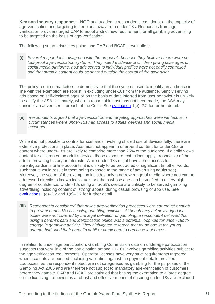**Key non-industry responses** – NGO and academic respondents cast doubt on the capacity of age-verification and targeting to keep ads away from under-18s. Responses from ageverification providers urged CAP to adopt a strict new requirement for all gambling advertising to be targeted on the basis of age-verification.

The following summarises key points and CAP and BCAP's evaluation:

**(i)** *Several respondents disagreed with the proposals because they believed there were no fool-proof age-verification systems. They noted evidence of children giving false ages on social media platforms, how ads served to individual profiles were not easily controlled and that organic content could be shared outside the control of the advertiser.*

The policy requires marketers to demonstrate that the systems used to identify an audience in line with the exemption are robust in excluding under-18s from the audience. Simply serving ads based on self-declared ages or on the basis of data inferred from user behaviour is unlikely to satisfy the ASA. Ultimately, where a reasonable case has not been made, the ASA may consider an advertiser in breach of the Code. See [evaluation](https://www.asa.org.uk/resource/Gambling-consultation-evaluation-table-Q1-2022.html) 1(e)–2.2 for further detail.

**(ii)** *Respondents argued that age-verification and targeting approaches were ineffective in circumstances where under-18s had access to adults' devices and social media accounts.*

While it is not possible to control for scenarios involving shared use of devices fully, there are extensive protections in place. Ads must not appear in or around content for under-18s or content where under-18s are likely to comprise more than 25% of the audience. If a child views content for children on an adult's device, these exposure restrictions apply irrespective of the adult's browsing history or interests. While under-18s might have some access to a parent/guardian's online accounts, it is unlikely to be protracted or significant (in other words, such that it would result in them being exposed to the range of advertising adults see). Moreover, the scope of the exemption includes only a narrow range of media where ads can be addressed directly to known individuals or others whose age can be verified to a very high degree of confidence. Under-18s using an adult's device are unlikely to be served gambling advertising including content of 'strong' appeal during casual browsing or app use. See [evaluations](https://www.asa.org.uk/resource/Gambling-consultation-evaluation-table-Q1-2022.html) 1(e)–2.2 and 1(d)–3.2 for further detail.

**(iii)** *Respondents considered that online age-verification processes were not robust enough to prevent under-18s accessing gambling activities. Although they acknowledged loot boxes were not covered by the legal definition of gambling, a respondent believed that using a parent's card and identification online was a potential loophole for under-18s to*  engage in gambling activity. They highlighted research that found one in ten young *gamers had used their parent's debit or credit card to purchase loot boxes.*

In relation to under-age participation, Gambling Commission data on underage participation suggests that very little of the participation among 11-16s involves gambling activities subject to the age verification requirements. Operator licenses have very strict requirements triggered when accounts are opened; including validation against the payment details provided. Lootboxes, as the respondent noted, are not categorised as gambling for the purposes of the Gambling Act 2005 and are therefore not subject to mandatory age-verification of customers before they gamble. CAP and BCAP are satisfied that basing the exemption to a large degree on the licensing framework is a robust and effective means of ensuring under-18s are excluded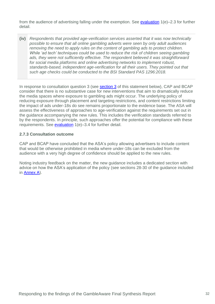from the audience of advertising falling under the exemption. See [evaluation](https://www.asa.org.uk/resource/Gambling-consultation-evaluation-table-Q1-2022.html) 1(e)–2.3 for further detail.

**(iv)** *Respondents that provided age-verification services asserted that it was now technically possible to ensure that all online gambling adverts were seen by only adult audiences removing the need to apply rules on the content of gambling ads to protect children. While 'ad tech' techniques could be used to reduce the risk of children seeing gambling ads, they were not sufficiently effective. The respondent believed it was straightforward for social media platforms and online advertising networks to implement robust, standards-based, independent age-verification for all their users. They pointed out that such age checks could be conducted to the BSI Standard PAS 1296:2018.*

In response to consultation question 3 (see [section 3](#page-32-0) of this statement below), CAP and BCAP consider that there is no substantive case for new interventions that aim to dramatically reduce the media spaces where exposure to gambling ads might occur. The underlying policy of reducing exposure through placement and targeting restrictions, and content restrictions limiting the impact of ads under-18s do see remains proportionate to the evidence base. The ASA will assess the effectiveness of approaches to age-verification against the requirements set out in the guidance accompanying the new rules. This includes the verification standards referred to by the respondents. In principle, such approaches offer the potential for compliance with these requirements. See [evaluation](https://www.asa.org.uk/resource/Gambling-consultation-evaluation-table-Q1-2022.html) 1(e)–3.4 for further detail.

#### **2.7.3 Consultation outcome**

CAP and BCAP have concluded that the ASA's policy allowing advertisers to include content that would be otherwise prohibited in media where under-18s can be excluded from the audience with a very high degree of confidence should be applied to the new rules.

Noting industry feedback on the matter, the new guidance includes a dedicated section with advice on how the ASA's application of the policy (see sections 28-30 of the guidance included in [Annex A\)](https://www.asa.org.uk/resource/Gambling-consultation-guidance-annex-2022.html).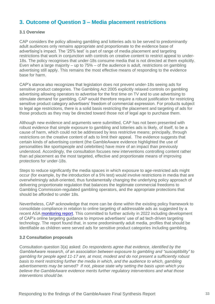# <span id="page-32-0"></span>**3. Outcome of Question 3 – Media placement restrictions**

#### **3.1 Overview**

CAP considers the policy allowing gambling and lotteries ads to be served to predominantly adult audiences only remains appropriate and proportionate to the evidence base of advertising's impact. The '25% test' is part of range of media placement and targeting restrictions that work in conjunction with controls on creative content to restrict appeal to under-18s. The policy recognises that under-18s consume media that is not directed at them explicitly. Even when a large majority – up to 75% – of the audience is adult, restrictions on gambling advertising still apply. This remains the most effective means of responding to the evidence base for harm.

CAP's stance also recognizes that legislation does not prevent under-18s seeing ads for sensitive product categories. The Gambling Act 2005 explicitly relaxed controls on gambling advertising allowing operators to advertise for the first time on TV and to use advertising to stimulate demand for gambling. CAP would therefore require a robust justification for restricting sensitive product category advertisers' freedom of commercial expression. For products subject to legal age restrictions, there is a solid basis restricting the placement and targeting of ads for those products as they may be directed toward those not of legal age to purchase them.

Although new evidence and arguments were submitted, CAP has not been presented with robust evidence that simple exposure to gambling and lotteries ads is likely, of itself, to be a cause of harm, which could not be addressed by less restrictive means; principally, through restrictions on the creative content of ads to limit their appeal. The evidence suggests that certain kinds of advertising content (the GambleAware evidence highlighted the use of personalities like sportspeople and celebrities) have more of an impact than previously understood. Accordingly, the consultation focuses new interventions controlling content rather than ad placement as the most targeted, effective and proportionate means of improving protections for under-18s.

Steps to reduce significantly the media spaces in which exposure to age-restricted ads might occur (for example, by the introduction of a 5% test) would involve restrictions in media that are overwhelmingly adult-oriented, thus fundamentally changing the underlying policy approach of delivering proportionate regulation that balances the legitimate commercial freedoms to Gambling Commission-regulated gambling operators, and the appropriate protections that should be afforded to under 18s.

Nevertheless, CAP acknowledge that more can be done within the existing policy framework to consolidate compliance in relation to online targeting of addressable ads as suggested by a recent ASA [monitoring report.](https://www.asa.org.uk/news/calling-on-advertisers-to-make-better-use-of-online-targeting-tools-to-minimise-children-s-exposure-to-age-restricted-ads.html) This committed to further activity in 2022 including development of CAP's online targeting guidance to improve advertisers' use of ad tech-driven targeting technology. The report found that, in some predominantly adult media, profiles that should be identifiable as children were served ads for sensitive product categories including gambling.

#### **3.2 Consultation proposals**

Consultation question 3(a) asked: *Do respondents agree that evidence, identified by the GambleAware research, of an association between exposure to gambling and "susceptibility" to gambling for people aged 11-17 are, at most, modest and do not present a sufficiently robust basis to merit restricting further the media in which, and the audience to which, gambling advertisements may be served? If not, please state why setting the basis upon which you believe the GambleAware evidence merits further regulatory interventions and what those interventions should be.*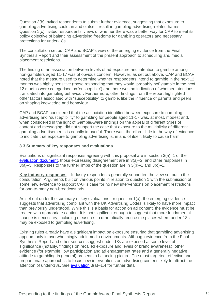Question 3(b) invited respondents to submit further evidence, suggesting that exposure to gambling advertising could, in and of itself, result in gambling advertising-related harms. Question 3(c) invited respondents' views of whether there was a better way for CAP to meet its policy objective of balancing advertising freedoms for gambling operators and necessary protections for under-18s.

The consultation set out CAP and BCAP's view of the emerging evidence from the Final Synthesis Report and their assessment of the present approach to scheduling and media placement restrictions.

The finding of an association between levels of ad exposure and intention to gamble among non-gamblers aged 11-17 was of obvious concern. However, as set out above, CAP and BCAP noted that the measure used to determine whether respondents intend to gamble in the next 12 months was highly sensitive (those responding that they would 'probably not' gamble in the next 12 months were categorised as 'susceptible') and there was no indication of whether intentions translated into gambling behaviour. Furthermore, other findings from the report highlighted other factors associated with "susceptibility" to gamble, like the influence of parents and peers on shaping knowledge and behaviour.

CAP and BCAP considered that the association identified between exposure to gambling advertising and "susceptibility" to gambling for people aged 11-17 was, at most, modest and, when considered in the light of GambleAware findings on the appeal of different types of content and messaging, did not support the case that exposure to the multiplicity of different gambling advertisements is equally impactful. There was, therefore, little in the way of evidence to indicate that exposure to gambling advertising is, in and of itself, likely to cause harm.

#### **3.3 Summary of key responses and evaluations**

Evaluations of significant responses agreeing with this proposal are in section 3(a)–1 of the [evaluation document,](https://www.asa.org.uk/resource/Gambling-consultation-evaluation-table-Q3-2022.html) those expressing disagreement are in 3(a)–2, and other responses in 3(a)–3. Responses to the further limbs of the question are in 3(b)–1 and 3(c)–1.

**Key industry responses** – Industry respondents generally supported the view set out in the consultation. Arguments built on various points in relation to question 1 with the submission of some new evidence to support CAP's case for no new interventions on placement restrictions for one-to-many non-broadcast ads.

As set out under the summary of key evaluations for question 1(a), the emerging evidence suggests that advertising compliant with the UK Advertising Codes is likely to have more impact than previously understood. While this is a basis for action on ad content, the evidence must be treated with appropriate caution. It is not significant enough to suggest that more fundamental change is necessary; including measures to dramatically reduce the places where under-18s may be exposed to gambling advertising.

Existing rules already have a significant impact on exposure ensuring that gambling advertising appears only in overwhelmingly adult media environments. Although evidence from the Final Synthesis Report and other sources suggest under-18s are exposed at some level of significance (notably, findings on recalled exposure and levels of brand awareness), other evidence (for example, low participation and ad engagement rates and a generally negative attitude to gambling in general) presents a balancing picture. The most targeted, effective and proportionate approach is to focus new interventions on advertising content likely to attract the attention of under-18s. See [evaluation](https://www.asa.org.uk/resource/Gambling-consultation-evaluation-table-Q3-2022.html) 3(a)–1.4 for further detail.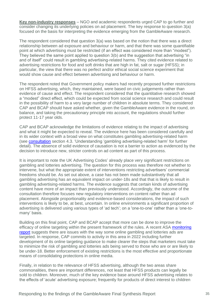**Key non-industry responses** – NGO and academic respondents urged CAP to go further and consider changing its underlying policies on ad placement. The key response to question 3(a) focused on the basis for interpreting the evidence emerging from the GambleAware research.

The respondent considered that question 3(a) was based on the notion that there was a direct relationship between ad exposure and behaviour or harm, and that there was some quantifiable point at which advertising must be restricted (if an effect was considered more than "modest"). They believed the same point applied to question 3(b) and the suggestion that advertising "in and of itself" could result in gambling advertising-related harms. They cited evidence related to advertising restrictions for food and soft drinks that are high in fat, salt or sugar (HFSS); in particular, the view that there was no perfect and/or ethical social science experiment that would show cause and effect between advertising and behaviour or harm.

The respondent noted that Government policy makers had recently proposed further restrictions on HFSS advertising, which, they maintained, were based on civic judgements rather than evidence of cause and effect. The respondent considered that the quantitative research showed a "modest" direct effect, which could be expected from social science research and could result in the possibility of harm to a very large number of children in absolute terms. They considered CAP and BCAP should have asked whether, given the GambleAware evidence in the round, on balance, and taking the precautionary principle into account, the regulations should further protect 11-17 year olds.

CAP and BCAP acknowledge the limitations of evidence relating to the impact of advertising and what it might be expected to reveal. The evidence here has been considered carefully and in its wider context with a broad view on what constitutes gambling advertising-related harm (see [consultation](https://www.asa.org.uk/resource/gambling-appeal-consultation.html) section 4.3. 'Understanding 'gambling advertising-related harm' for further detail). The absence of solid evidence of causation is not a barrier to action as evidenced by the decision to introduce new, stricter controls on ad content as part of this process.

It is important to note the UK Advertising Codes' already place very significant restrictions on gambling and lotteries advertising. The question for this process was therefore not whether to intervene, but what the appropriate extent of interventions restricting advertisers' commercial freedoms should be. As set out above, a case has not been made substantively that all gambling advertising has an equivalent impact on under-18s and that that is likely to result in gambling advertising-related harms. The evidence suggests that certain kinds of advertising content have more of an impact than previously understood. Accordingly, the outcome of the consultation therefore focuses new regulatory interventions on content rather than ad placement. Alongside proportionality and evidence-based considerations, the impact of such interventions is likely to be, at best, uncertain. In online environments a significant proportion of advertising is delivered using various types of 'ad tech'; on a 'one-to-one' rather than a 'one-tomany' basis.

Building on this final point, CAP and BCAP accept that more can be done to improve the efficacy of online targeting within the present framework of the rules. A recent ASA [monitoring](https://www.asa.org.uk/news/calling-on-advertisers-to-make-better-use-of-online-targeting-tools-to-minimise-children-s-exposure-to-age-restricted-ads.html)  [report](https://www.asa.org.uk/news/calling-on-advertisers-to-make-better-use-of-online-targeting-tools-to-minimise-children-s-exposure-to-age-restricted-ads.html) suggests there are issues with the way some online gambling and lotteries ads are targeted. In response, CAP commits to activity in this area in 2022 including further development of its online targeting guidance to make clearer the steps that marketers must take to minimize the risk of gambling and lotteries ads being served to those who are or are likely to be under-18. Better enforcement of existing restrictions is the most effective and proportionate means of consolidating protections in online media.

Finally, in relation to the relevance of HFSS advertising, although the two areas share commonalities, there are important differences, not least that HFSS products can legally be sold to children. Moreover, much of the key evidence base around HFSS advertising relates to the effects of 'acute' advertising exposure; frequently for products of direct interest to children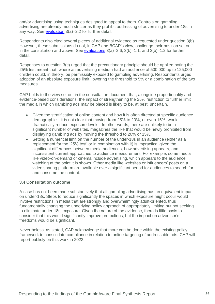and/or advertising using techniques designed to appeal to them. Controls on gambling advertising are already much stricter as they prohibit addressing of advertising to under-18s in any way. See [evaluation](https://www.asa.org.uk/resource/Gambling-consultation-evaluation-table-Q3-2022.html) 3(a)–2.2 for further detail.

Respondents also cited several pieces of additional evidence as requested under question 3(b). However, these submissions do not, in CAP and BCAP's view, challenge their position set out in the consultation and above. See [evaluations](https://www.asa.org.uk/resource/Gambling-consultation-evaluation-table-Q3-2022.html)  $3(a)$ –2.6,  $3(b)$ –1.1, and  $3(b)$ –1.2 for further detail.

Responses to question 3(c) urged that the precautionary principle should be applied noting the 25% test meant that, where an advertising medium had an audience of 500,000 up to 125,000 children could, in theory, be permissibly exposed to gambling advertising. Respondents urged adoption of an absolute exposure limit, lowering the threshold to 5% or a combination of the two measures.

CAP holds to the view set out in the consultation document that, alongside proportionality and evidence-based considerations, the impact of strengthening the 25% restriction to further limit the media in which gambling ads may be placed is likely to be, at best, uncertain.

- Given the stratification of online content and how it is often directed at specific audience demographics, it is not clear that moving from 25% to 20%, or even 15%, would dramatically reduce exposure levels. In other words, there are unlikely to be a significant number of websites, magazines the like that would be newly prohibited from displaying gambling ads by moving the threshold to 20% or 15%.
- Setting a numerical limit on the number of the under-18s in an audience (either as a replacement for the '25% test' or in combination with it) is impractical given the significant differences between media audiences, how advertising appears, and inconsistent current approaches to audience measurement. For example, some media like video-on-demand or cinema include advertising, which appears to the audience watching at the point it is shown. Other media like websites or influencers' posts on a video sharing platform are available over a significant period for audiences to search for and consume the content.

#### **3.4 Consultation outcome**

A case has not been made substantively that all gambling advertising has an equivalent impact on under-18s. Steps to reduce significantly the spaces in which exposure might occur would involve restrictions in media that are strongly and overwhelmingly adult-oriented, thus fundamentally changing the underlying policy approach of appropriately limiting but not seeking to eliminate under-18s' exposure. Given the nature of the evidence, there is little basis to consider that this would significantly improve protections, but the impact on advertiser's freedoms would be significant.

Nevertheless, as stated, CAP acknowledge that more can be done within the existing policy framework to consolidate compliance in relation to online targeting of addressable ads. CAP will report publicly on this work in 2022.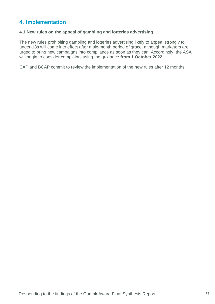## <span id="page-36-0"></span>**4. Implementation**

## **4.1 New rules on the appeal of gambling and lotteries advertising**

The new rules prohibiting gambling and lotteries advertising likely to appeal strongly to under-18s will come into effect after a six-month period of grace, although marketers are urged to bring new campaigns into compliance as soon as they can. Accordingly, the ASA will begin to consider complaints using the guidance **from 1 October 2022**.

CAP and BCAP commit to review the implementation of the new rules after 12 months.